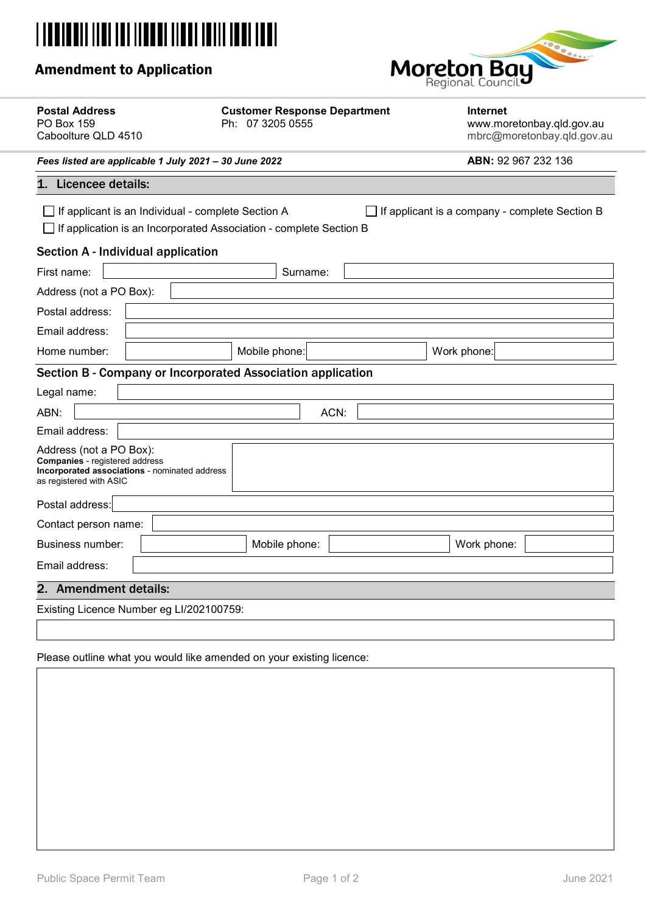# **|| || || || || || || || || || ||**

# Amendment to Application



| <b>Postal Address</b><br>PO Box 159<br>Caboolture QLD 4510                                                                                                                 |  | <b>Customer Response Department</b><br>Ph: 07 3205 0555 |          |  | Internet<br>www.moretonbay.qld.gov.au<br>mbrc@moretonbay.qld.gov.au |  |  |
|----------------------------------------------------------------------------------------------------------------------------------------------------------------------------|--|---------------------------------------------------------|----------|--|---------------------------------------------------------------------|--|--|
| Fees listed are applicable 1 July 2021 - 30 June 2022                                                                                                                      |  |                                                         |          |  | ABN: 92 967 232 136                                                 |  |  |
| 1. Licencee details:                                                                                                                                                       |  |                                                         |          |  |                                                                     |  |  |
| If applicant is an Individual - complete Section A<br>If applicant is a company - complete Section B<br>If application is an Incorporated Association - complete Section B |  |                                                         |          |  |                                                                     |  |  |
| Section A - Individual application                                                                                                                                         |  |                                                         |          |  |                                                                     |  |  |
| First name:                                                                                                                                                                |  |                                                         | Surname: |  |                                                                     |  |  |
| Address (not a PO Box):                                                                                                                                                    |  |                                                         |          |  |                                                                     |  |  |
| Postal address:                                                                                                                                                            |  |                                                         |          |  |                                                                     |  |  |
| Email address:                                                                                                                                                             |  |                                                         |          |  |                                                                     |  |  |
| Home number:                                                                                                                                                               |  | Mobile phone:                                           |          |  | Work phone:                                                         |  |  |
| Section B - Company or Incorporated Association application                                                                                                                |  |                                                         |          |  |                                                                     |  |  |
| Legal name:                                                                                                                                                                |  |                                                         |          |  |                                                                     |  |  |
| ABN:                                                                                                                                                                       |  |                                                         | ACN:     |  |                                                                     |  |  |
| Email address:                                                                                                                                                             |  |                                                         |          |  |                                                                     |  |  |
| Address (not a PO Box):<br><b>Companies</b> - registered address<br>Incorporated associations - nominated address<br>as registered with ASIC                               |  |                                                         |          |  |                                                                     |  |  |
| Postal address:                                                                                                                                                            |  |                                                         |          |  |                                                                     |  |  |
| Contact person name:                                                                                                                                                       |  |                                                         |          |  |                                                                     |  |  |
| <b>Business number:</b>                                                                                                                                                    |  | Mobile phone:                                           |          |  | Work phone:                                                         |  |  |
| Email address:                                                                                                                                                             |  |                                                         |          |  |                                                                     |  |  |
| 2. Amendment details:                                                                                                                                                      |  |                                                         |          |  |                                                                     |  |  |
| Existing Licence Number eg LI/202100759:                                                                                                                                   |  |                                                         |          |  |                                                                     |  |  |

Please outline what you would like amended on your existing licence: